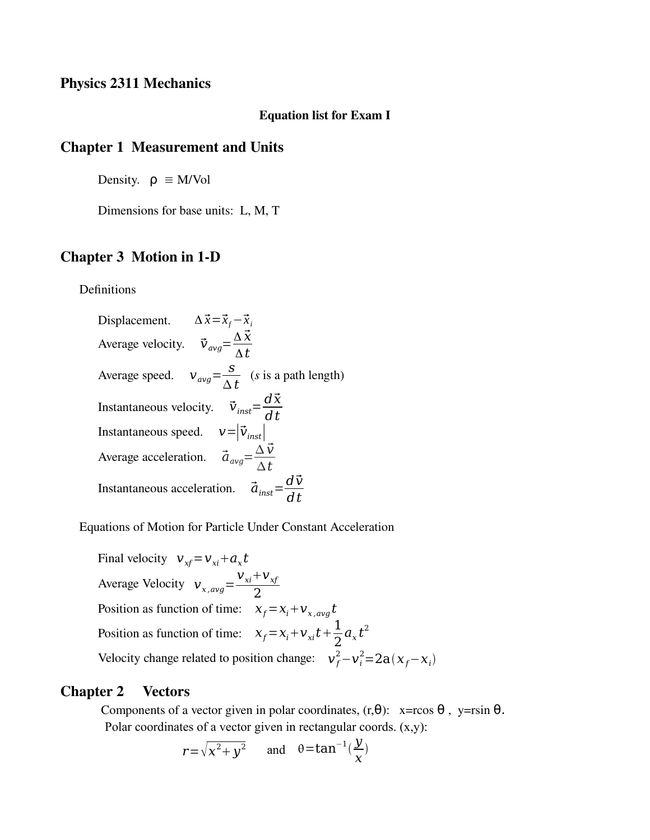### **Physics 2311 Mechanics**

#### **Equation list for Exam I**

## **Chapter 1 Measurement and Units**

Density.  $\rho \equiv M/Vol$ 

Dimensions for base units: L, M, T

### **Chapter 3 Motion in 1-D**

Definitions

Displacement.  $\Delta \vec{x} = \vec{x}_f - \vec{x}_i$ Average velocity.  $\vec{v}_{avg} = \frac{\Delta \vec{X}}{\Delta t}$ Δ*t* Average speed.  $v_{avg} = \frac{S}{\Delta}$  $\frac{\epsilon}{\Delta t}$  (*s* is a path length) Instantaneous velocity.  $\vec{v}_{inst} = \frac{d\vec{x}}{dt}$ *dt* Instantaneous speed.  $v=|\vec{v}_{inst}|$ Average acceleration.  $\vec{a}_{avg} = \frac{\Delta \vec{v}}{\Delta t}$ *t* Instantaneous acceleration.  $\vec{a}_{inst} = \frac{d\vec{v}}{dt}$ *dt*

Equations of Motion for Particle Under Constant Acceleration

Final velocity  $v_{xf} = v_{xi} + a_x t$ Average Velocity *v<sup>x</sup> ,avg*=  $v_{xi}$ + $v_{xf}$ 2 Position as function of time:  $x_f = x_i + v_{x, avg} t$ Position as function of time:  $x_f = x_i + v_{xi}t + \frac{1}{2}$  $rac{1}{2}a_{x}t^{2}$ Velocity change related to position change:  $v_f^2 - v_i^2 = 2a(x_f - x_i)$ 

#### **Chapter 2 Vectors**

Components of a vector given in polar coordinates,  $(r,\theta)$ : x=rcos  $\theta$ , y=rsin  $\theta$ . Polar coordinates of a vector given in rectangular coords.  $(x,y)$ :

$$
r = \sqrt{x^2 + y^2}
$$
 and  $\theta = \tan^{-1}(\frac{y}{x})$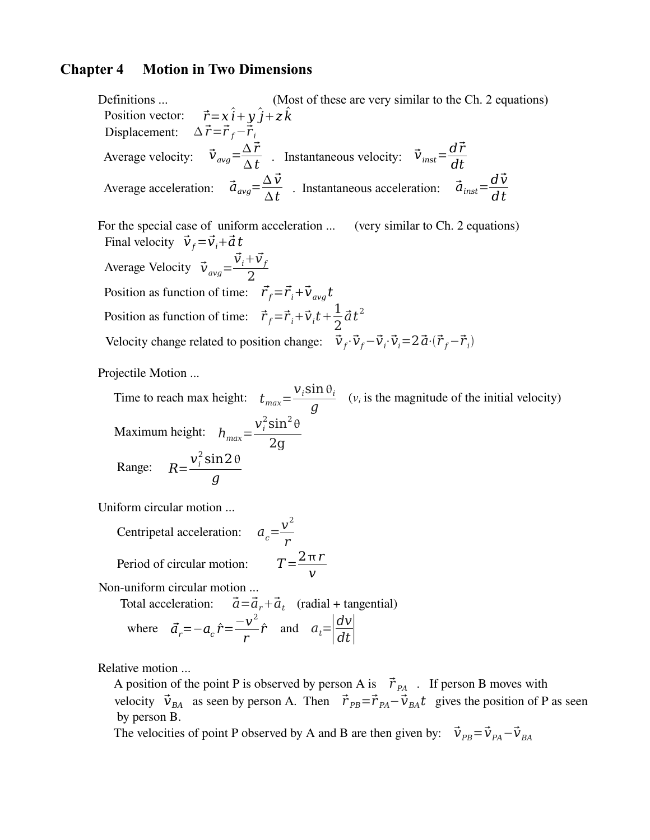### **Chapter 4 Motion in Two Dimensions**

Definitions ... (Most of these are very similar to the Ch. 2 equations) Position vector:  $\hat{i} + y \hat{j} + z \hat{k}$ Displacement:  $\Delta \vec{r} = \vec{r}_f - \vec{r}_i$ Average velocity:  $\vec{v}_{avg} = \frac{\Delta \vec{r}}{\Delta t}$  $\frac{\Delta \vec{r}}{\Delta t}$  . Instantaneous velocity:  $\vec{v}_{inst} = \frac{d\vec{r}}{dt}$ *dt* Average acceleration:  $\vec{a}_{avg} = \frac{\Delta \vec{v}}{\Delta t}$  $\frac{\Delta \vec{v}}{\Delta t}$  . Instantaneous acceleration:  $\vec{a}_{inst} = \frac{d \vec{v}}{dt}$ *dt* For the special case of uniform acceleration ... (very similar to Ch. 2 equations) Final velocity  $\vec{v}_f = \vec{v}_i + \vec{a}t$ Average Velocity  $\vec{v}_{avg}$  =  $\vec{v}_i + \vec{v}_f$ 2 Position as function of time:  $\vec{r}_f = \vec{r}_i + \vec{v}_{avg}t$ Position as function of time:  $\vec{r}_f = \vec{r}_i + \vec{v}_i t + \frac{1}{2}$ 2  $\vec{a}t^2$ Velocity change related to position change:  $\vec{v}_f \cdot \vec{v}_f - \vec{v}_i \cdot \vec{v}_i = 2 \vec{a} \cdot (\vec{r}_f - \vec{r}_i)$ 

Projectile Motion ...

 Time to reach max height: *tmax*=  $v_i$ sin $\theta_i$  $\frac{d}{dx}$  (*v<sub>i</sub>* is the magnitude of the initial velocity) Maximum height: *hmax*=  $v_i^2$ sin<sup>2</sup> $\theta$ 2g Range:  $R = \frac{v_i^2 \sin 2\theta}{2}$ *g*

Uniform circular motion ...

Centripetal acceleration:  $a_c = \frac{v^2}{r}$ *r* Period of circular motion: 2*r v*

Non-uniform circular motion ...

Total acceleration:  $\vec{a} = \vec{a}_r + \vec{a}_t$  (radial + tangential) where  $\vec{a}_r = -a_c \hat{r} = \frac{-v^2}{r}$  $rac{v^2}{r}$  *f* and *a*<sub>t</sub>= $\left| \frac{dv}{dt} \right|$ *dt*∣

Relative motion ...

A position of the point P is observed by person A is  $\vec{r}_{PA}$ . If person B moves with velocity  $\vec{v}_{BA}$  as seen by person A. Then  $\vec{r}_{PB} = \vec{r}_{PA} - \vec{v}_{BA}t$  gives the position of P as seen by person B.

The velocities of point P observed by A and B are then given by:  $\vec{v}_{PB} = \vec{v}_{PA} - \vec{v}_{BA}$